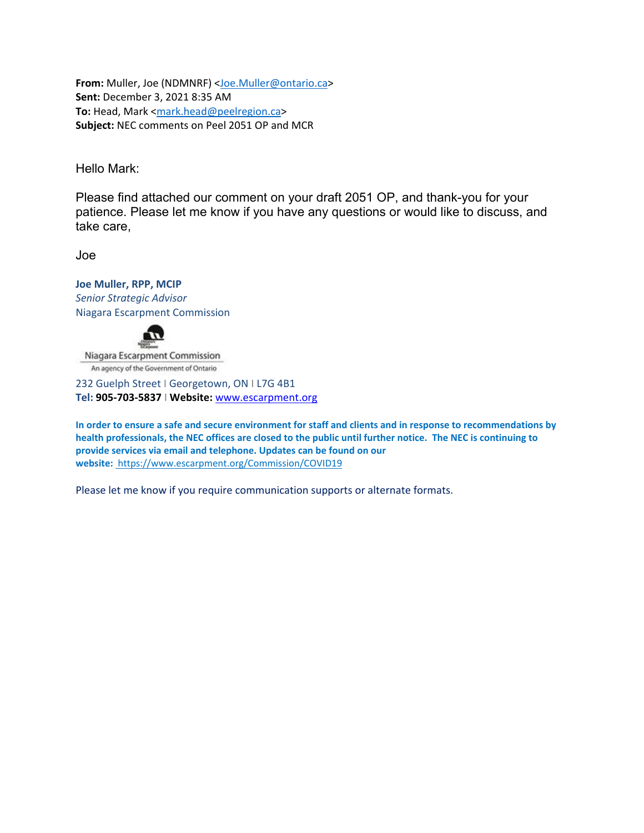From: Muller, Joe (NDMNRF) <Joe.Muller@ontario.ca> **Sent:** December 3, 2021 8:35 AM **To:** Head, Mark <mark.head@peelregion.ca> **Subject:** NEC comments on Peel 2051 OP and MCR

Hello Mark:

Please find attached our comment on your draft 2051 OP, and thank-you for your patience. Please let me know if you have any questions or would like to discuss, and take care,

Joe

**Joe Muller, RPP, MCIP** *Senior Strategic Advisor* Niagara Escarpment Commission



Niagara Escarpment Commission An agency of the Government of Ontario

232 Guelph Street I Georgetown, ON I L7G 4B1 **Tel: 905‐703‐5837** I **Website:** www.escarpment.org

In order to ensure a safe and secure environment for staff and clients and in response to recommendations by health professionals, the NEC offices are closed to the public until further notice. The NEC is continuing to **provide services via email and telephone. Updates can be found on our website:** https://www.escarpment.org/Commission/COVID19

Please let me know if you require communication supports or alternate formats.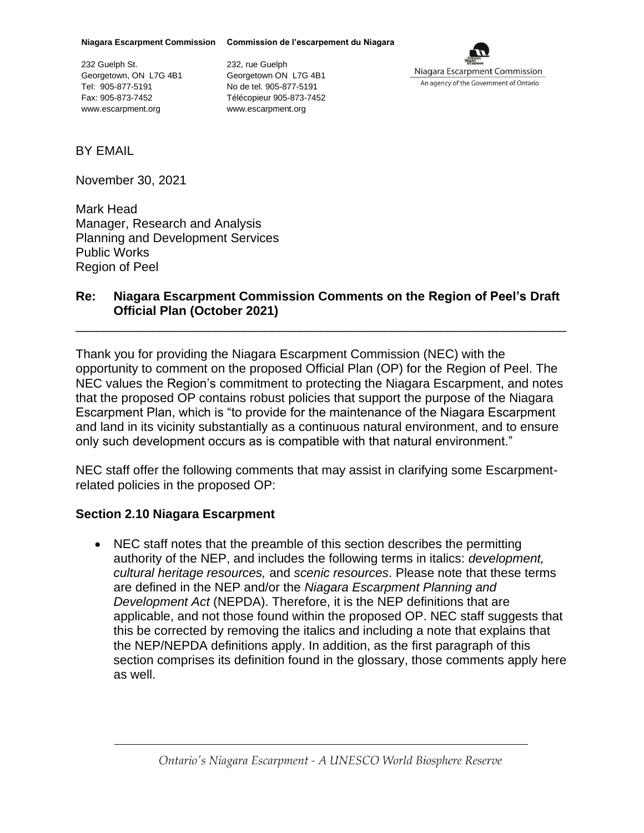**Niagara Escarpment Commission Commission de l'escarpement du Niagara**

232 Guelph St. Georgetown, ON L7G 4B1 Tel: 905-877-5191 Fax: 905-873-7452 www.escarpment.org

232, rue Guelph Georgetown ON L7G 4B1 No de tel. 905-877-5191 Télécopieur 905-873-7452 www.escarpment.org



BY EMAIL

November 30, 2021

Mark Head Manager, Research and Analysis Planning and Development Services Public Works Region of Peel

#### **Re: Niagara Escarpment Commission Comments on the Region of Peel's Draft Official Plan (October 2021)**

\_\_\_\_\_\_\_\_\_\_\_\_\_\_\_\_\_\_\_\_\_\_\_\_\_\_\_\_\_\_\_\_\_\_\_\_\_\_\_\_\_\_\_\_\_\_\_\_\_\_\_\_\_\_\_\_\_\_\_\_\_\_\_\_\_\_\_\_\_\_

Thank you for providing the Niagara Escarpment Commission (NEC) with the opportunity to comment on the proposed Official Plan (OP) for the Region of Peel. The NEC values the Region's commitment to protecting the Niagara Escarpment, and notes that the proposed OP contains robust policies that support the purpose of the Niagara Escarpment Plan, which is "to provide for the maintenance of the Niagara Escarpment and land in its vicinity substantially as a continuous natural environment, and to ensure only such development occurs as is compatible with that natural environment."

NEC staff offer the following comments that may assist in clarifying some Escarpmentrelated policies in the proposed OP:

### **Section 2.10 Niagara Escarpment**

• NEC staff notes that the preamble of this section describes the permitting authority of the NEP, and includes the following terms in italics: *development, cultural heritage resources,* and *scenic resources*. Please note that these terms are defined in the NEP and/or the *Niagara Escarpment Planning and Development Act* (NEPDA). Therefore, it is the NEP definitions that are applicable, and not those found within the proposed OP. NEC staff suggests that this be corrected by removing the italics and including a note that explains that the NEP/NEPDA definitions apply. In addition, as the first paragraph of this section comprises its definition found in the glossary, those comments apply here as well.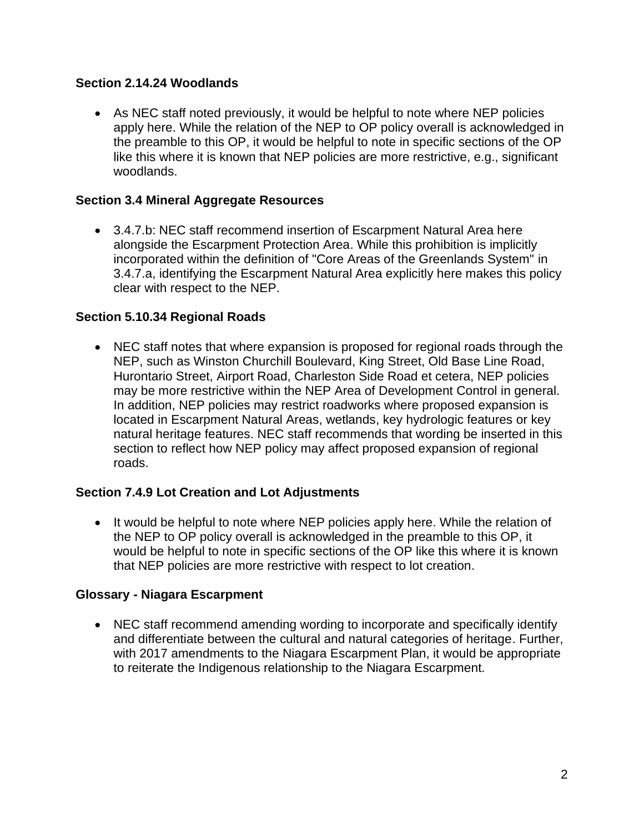# **Section 2.14.24 Woodlands**

• As NEC staff noted previously, it would be helpful to note where NEP policies apply here. While the relation of the NEP to OP policy overall is acknowledged in the preamble to this OP, it would be helpful to note in specific sections of the OP like this where it is known that NEP policies are more restrictive, e.g., significant woodlands.

# **Section 3.4 Mineral Aggregate Resources**

• 3.4.7.b: NEC staff recommend insertion of Escarpment Natural Area here alongside the Escarpment Protection Area. While this prohibition is implicitly incorporated within the definition of "Core Areas of the Greenlands System" in 3.4.7.a, identifying the Escarpment Natural Area explicitly here makes this policy clear with respect to the NEP.

## **Section 5.10.34 Regional Roads**

• NEC staff notes that where expansion is proposed for regional roads through the NEP, such as Winston Churchill Boulevard, King Street, Old Base Line Road, Hurontario Street, Airport Road, Charleston Side Road et cetera, NEP policies may be more restrictive within the NEP Area of Development Control in general. In addition, NEP policies may restrict roadworks where proposed expansion is located in Escarpment Natural Areas, wetlands, key hydrologic features or key natural heritage features. NEC staff recommends that wording be inserted in this section to reflect how NEP policy may affect proposed expansion of regional roads.

### **Section 7.4.9 Lot Creation and Lot Adjustments**

• It would be helpful to note where NEP policies apply here. While the relation of the NEP to OP policy overall is acknowledged in the preamble to this OP, it would be helpful to note in specific sections of the OP like this where it is known that NEP policies are more restrictive with respect to lot creation.

### **Glossary - Niagara Escarpment**

• NEC staff recommend amending wording to incorporate and specifically identify and differentiate between the cultural and natural categories of heritage. Further, with 2017 amendments to the Niagara Escarpment Plan, it would be appropriate to reiterate the Indigenous relationship to the Niagara Escarpment.